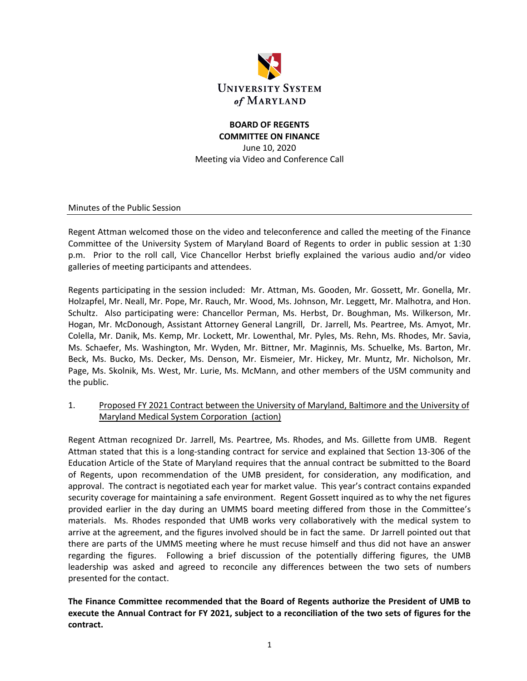

# **BOARD OF REGENTS COMMITTEE ON FINANCE**

June 10, 2020 Meeting via Video and Conference Call

Minutes of the Public Session

Regent Attman welcomed those on the video and teleconference and called the meeting of the Finance Committee of the University System of Maryland Board of Regents to order in public session at 1:30 p.m. Prior to the roll call, Vice Chancellor Herbst briefly explained the various audio and/or video galleries of meeting participants and attendees.

Regents participating in the session included: Mr. Attman, Ms. Gooden, Mr. Gossett, Mr. Gonella, Mr. Holzapfel, Mr. Neall, Mr. Pope, Mr. Rauch, Mr. Wood, Ms. Johnson, Mr. Leggett, Mr. Malhotra, and Hon. Schultz. Also participating were: Chancellor Perman, Ms. Herbst, Dr. Boughman, Ms. Wilkerson, Mr. Hogan, Mr. McDonough, Assistant Attorney General Langrill, Dr. Jarrell, Ms. Peartree, Ms. Amyot, Mr. Colella, Mr. Danik, Ms. Kemp, Mr. Lockett, Mr. Lowenthal, Mr. Pyles, Ms. Rehn, Ms. Rhodes, Mr. Savia, Ms. Schaefer, Ms. Washington, Mr. Wyden, Mr. Bittner, Mr. Maginnis, Ms. Schuelke, Ms. Barton, Mr. Beck, Ms. Bucko, Ms. Decker, Ms. Denson, Mr. Eismeier, Mr. Hickey, Mr. Muntz, Mr. Nicholson, Mr. Page, Ms. Skolnik, Ms. West, Mr. Lurie, Ms. McMann, and other members of the USM community and the public.

## 1. Proposed FY 2021 Contract between the University of Maryland, Baltimore and the University of Maryland Medical System Corporation (action)

Regent Attman recognized Dr. Jarrell, Ms. Peartree, Ms. Rhodes, and Ms. Gillette from UMB. Regent Attman stated that this is a long-standing contract for service and explained that Section 13-306 of the Education Article of the State of Maryland requires that the annual contract be submitted to the Board of Regents, upon recommendation of the UMB president, for consideration, any modification, and approval. The contract is negotiated each year for market value. This year's contract contains expanded security coverage for maintaining a safe environment. Regent Gossett inquired as to why the net figures provided earlier in the day during an UMMS board meeting differed from those in the Committee's materials. Ms. Rhodes responded that UMB works very collaboratively with the medical system to arrive at the agreement, and the figures involved should be in fact the same. Dr Jarrell pointed out that there are parts of the UMMS meeting where he must recuse himself and thus did not have an answer regarding the figures. Following a brief discussion of the potentially differing figures, the UMB leadership was asked and agreed to reconcile any differences between the two sets of numbers presented for the contact.

**The Finance Committee recommended that the Board of Regents authorize the President of UMB to execute the Annual Contract for FY 2021, subject to a reconciliation of the two sets of figures for the contract.**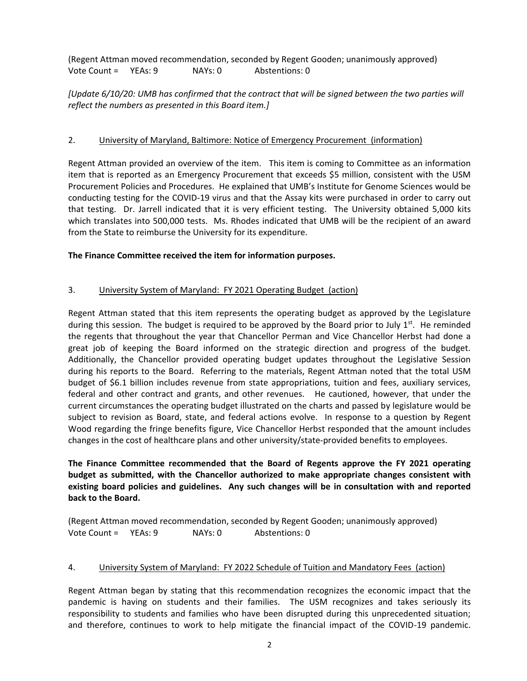(Regent Attman moved recommendation, seconded by Regent Gooden; unanimously approved) Vote Count = YEAs: 9 NAYs: 0 Abstentions: 0

# *[Update 6/10/20: UMB has confirmed that the contract that will be signed between the two parties will reflect the numbers as presented in this Board item.]*

# 2. University of Maryland, Baltimore: Notice of Emergency Procurement (information)

Regent Attman provided an overview of the item. This item is coming to Committee as an information item that is reported as an Emergency Procurement that exceeds \$5 million, consistent with the USM Procurement Policies and Procedures. He explained that UMB's Institute for Genome Sciences would be conducting testing for the COVID-19 virus and that the Assay kits were purchased in order to carry out that testing. Dr. Jarrell indicated that it is very efficient testing. The University obtained 5,000 kits which translates into 500,000 tests. Ms. Rhodes indicated that UMB will be the recipient of an award from the State to reimburse the University for its expenditure.

#### **The Finance Committee received the item for information purposes.**

## 3. University System of Maryland: FY 2021 Operating Budget (action)

Regent Attman stated that this item represents the operating budget as approved by the Legislature during this session. The budget is required to be approved by the Board prior to July  $1<sup>st</sup>$ . He reminded the regents that throughout the year that Chancellor Perman and Vice Chancellor Herbst had done a great job of keeping the Board informed on the strategic direction and progress of the budget. Additionally, the Chancellor provided operating budget updates throughout the Legislative Session during his reports to the Board. Referring to the materials, Regent Attman noted that the total USM budget of \$6.1 billion includes revenue from state appropriations, tuition and fees, auxiliary services, federal and other contract and grants, and other revenues. He cautioned, however, that under the current circumstances the operating budget illustrated on the charts and passed by legislature would be subject to revision as Board, state, and federal actions evolve. In response to a question by Regent Wood regarding the fringe benefits figure, Vice Chancellor Herbst responded that the amount includes changes in the cost of healthcare plans and other university/state-provided benefits to employees.

**The Finance Committee recommended that the Board of Regents approve the FY 2021 operating budget as submitted, with the Chancellor authorized to make appropriate changes consistent with existing board policies and guidelines. Any such changes will be in consultation with and reported back to the Board.**

(Regent Attman moved recommendation, seconded by Regent Gooden; unanimously approved) Vote Count = YEAs: 9 NAYs: 0 Abstentions: 0

#### 4. University System of Maryland: FY 2022 Schedule of Tuition and Mandatory Fees (action)

Regent Attman began by stating that this recommendation recognizes the economic impact that the pandemic is having on students and their families. The USM recognizes and takes seriously its responsibility to students and families who have been disrupted during this unprecedented situation; and therefore, continues to work to help mitigate the financial impact of the COVID-19 pandemic.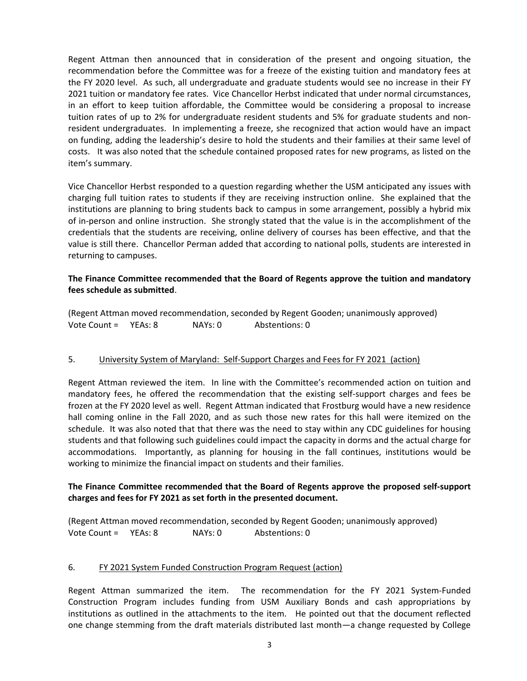Regent Attman then announced that in consideration of the present and ongoing situation, the recommendation before the Committee was for a freeze of the existing tuition and mandatory fees at the FY 2020 level. As such, all undergraduate and graduate students would see no increase in their FY 2021 tuition or mandatory fee rates. Vice Chancellor Herbst indicated that under normal circumstances, in an effort to keep tuition affordable, the Committee would be considering a proposal to increase tuition rates of up to 2% for undergraduate resident students and 5% for graduate students and nonresident undergraduates. In implementing a freeze, she recognized that action would have an impact on funding, adding the leadership's desire to hold the students and their families at their same level of costs. It was also noted that the schedule contained proposed rates for new programs, as listed on the item's summary.

Vice Chancellor Herbst responded to a question regarding whether the USM anticipated any issues with charging full tuition rates to students if they are receiving instruction online. She explained that the institutions are planning to bring students back to campus in some arrangement, possibly a hybrid mix of in-person and online instruction. She strongly stated that the value is in the accomplishment of the credentials that the students are receiving, online delivery of courses has been effective, and that the value is still there. Chancellor Perman added that according to national polls, students are interested in returning to campuses.

## **The Finance Committee recommended that the Board of Regents approve the tuition and mandatory fees schedule as submitted**.

(Regent Attman moved recommendation, seconded by Regent Gooden; unanimously approved) Vote Count = YEAs: 8 NAYs: 0 Abstentions: 0

#### 5. University System of Maryland: Self-Support Charges and Fees for FY 2021 (action)

Regent Attman reviewed the item. In line with the Committee's recommended action on tuition and mandatory fees, he offered the recommendation that the existing self-support charges and fees be frozen at the FY 2020 level as well. Regent Attman indicated that Frostburg would have a new residence hall coming online in the Fall 2020, and as such those new rates for this hall were itemized on the schedule. It was also noted that that there was the need to stay within any CDC guidelines for housing students and that following such guidelines could impact the capacity in dorms and the actual charge for accommodations. Importantly, as planning for housing in the fall continues, institutions would be working to minimize the financial impact on students and their families.

#### **The Finance Committee recommended that the Board of Regents approve the proposed self-support charges and fees for FY 2021 as set forth in the presented document.**

(Regent Attman moved recommendation, seconded by Regent Gooden; unanimously approved) Vote Count = YEAs: 8 NAYs: 0 Abstentions: 0

#### 6. FY 2021 System Funded Construction Program Request (action)

Regent Attman summarized the item. The recommendation for the FY 2021 System-Funded Construction Program includes funding from USM Auxiliary Bonds and cash appropriations by institutions as outlined in the attachments to the item. He pointed out that the document reflected one change stemming from the draft materials distributed last month—a change requested by College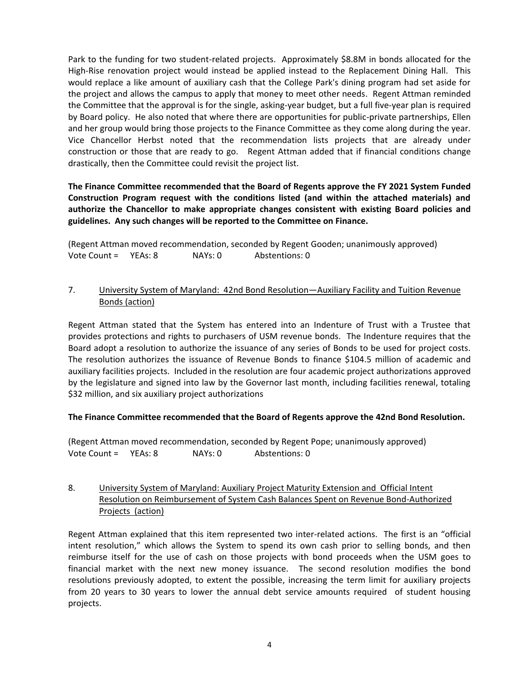Park to the funding for two student-related projects. Approximately \$8.8M in bonds allocated for the High-Rise renovation project would instead be applied instead to the Replacement Dining Hall. This would replace a like amount of auxiliary cash that the College Park's dining program had set aside for the project and allows the campus to apply that money to meet other needs. Regent Attman reminded the Committee that the approval is for the single, asking-year budget, but a full five-year plan is required by Board policy. He also noted that where there are opportunities for public-private partnerships, Ellen and her group would bring those projects to the Finance Committee as they come along during the year. Vice Chancellor Herbst noted that the recommendation lists projects that are already under construction or those that are ready to go. Regent Attman added that if financial conditions change drastically, then the Committee could revisit the project list.

**The Finance Committee recommended that the Board of Regents approve the FY 2021 System Funded Construction Program request with the conditions listed (and within the attached materials) and authorize the Chancellor to make appropriate changes consistent with existing Board policies and guidelines. Any such changes will be reported to the Committee on Finance.**

(Regent Attman moved recommendation, seconded by Regent Gooden; unanimously approved) Vote Count = YEAs: 8 NAYs: 0 Abstentions: 0

## 7. University System of Maryland: 42nd Bond Resolution—Auxiliary Facility and Tuition Revenue Bonds (action)

Regent Attman stated that the System has entered into an Indenture of Trust with a Trustee that provides protections and rights to purchasers of USM revenue bonds. The Indenture requires that the Board adopt a resolution to authorize the issuance of any series of Bonds to be used for project costs. The resolution authorizes the issuance of Revenue Bonds to finance \$104.5 million of academic and auxiliary facilities projects. Included in the resolution are four academic project authorizations approved by the legislature and signed into law by the Governor last month, including facilities renewal, totaling \$32 million, and six auxiliary project authorizations

#### **The Finance Committee recommended that the Board of Regents approve the 42nd Bond Resolution.**

(Regent Attman moved recommendation, seconded by Regent Pope; unanimously approved) Vote Count = YEAs: 8 NAYs: 0 Abstentions: 0

# 8. University System of Maryland: Auxiliary Project Maturity Extension and Official Intent Resolution on Reimbursement of System Cash Balances Spent on Revenue Bond-Authorized Projects (action)

Regent Attman explained that this item represented two inter-related actions. The first is an "official intent resolution," which allows the System to spend its own cash prior to selling bonds, and then reimburse itself for the use of cash on those projects with bond proceeds when the USM goes to financial market with the next new money issuance. The second resolution modifies the bond resolutions previously adopted, to extent the possible, increasing the term limit for auxiliary projects from 20 years to 30 years to lower the annual debt service amounts required of student housing projects.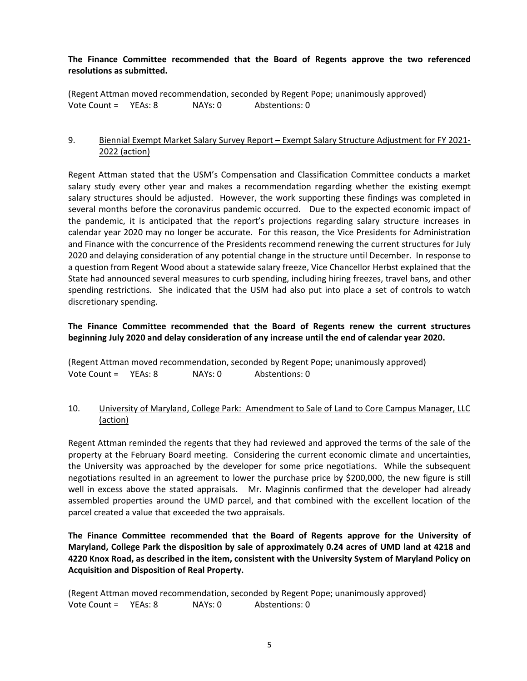# **The Finance Committee recommended that the Board of Regents approve the two referenced resolutions as submitted.**

(Regent Attman moved recommendation, seconded by Regent Pope; unanimously approved) Vote Count = YEAs: 8 NAYs: 0 Abstentions: 0

# 9. Biennial Exempt Market Salary Survey Report – Exempt Salary Structure Adjustment for FY 2021-2022 (action)

Regent Attman stated that the USM's Compensation and Classification Committee conducts a market salary study every other year and makes a recommendation regarding whether the existing exempt salary structures should be adjusted. However, the work supporting these findings was completed in several months before the coronavirus pandemic occurred. Due to the expected economic impact of the pandemic, it is anticipated that the report's projections regarding salary structure increases in calendar year 2020 may no longer be accurate. For this reason, the Vice Presidents for Administration and Finance with the concurrence of the Presidents recommend renewing the current structures for July 2020 and delaying consideration of any potential change in the structure until December. In response to a question from Regent Wood about a statewide salary freeze, Vice Chancellor Herbst explained that the State had announced several measures to curb spending, including hiring freezes, travel bans, and other spending restrictions. She indicated that the USM had also put into place a set of controls to watch discretionary spending.

# **The Finance Committee recommended that the Board of Regents renew the current structures beginning July 2020 and delay consideration of any increase until the end of calendar year 2020.**

(Regent Attman moved recommendation, seconded by Regent Pope; unanimously approved) Vote Count = YEAs: 8 NAYs: 0 Abstentions: 0

## 10. University of Maryland, College Park: Amendment to Sale of Land to Core Campus Manager, LLC (action)

Regent Attman reminded the regents that they had reviewed and approved the terms of the sale of the property at the February Board meeting. Considering the current economic climate and uncertainties, the University was approached by the developer for some price negotiations. While the subsequent negotiations resulted in an agreement to lower the purchase price by \$200,000, the new figure is still well in excess above the stated appraisals. Mr. Maginnis confirmed that the developer had already assembled properties around the UMD parcel, and that combined with the excellent location of the parcel created a value that exceeded the two appraisals.

**The Finance Committee recommended that the Board of Regents approve for the University of Maryland, College Park the disposition by sale of approximately 0.24 acres of UMD land at 4218 and 4220 Knox Road, as described in the item, consistent with the University System of Maryland Policy on Acquisition and Disposition of Real Property.**

(Regent Attman moved recommendation, seconded by Regent Pope; unanimously approved) Vote Count = YEAs: 8 NAYs: 0 Abstentions: 0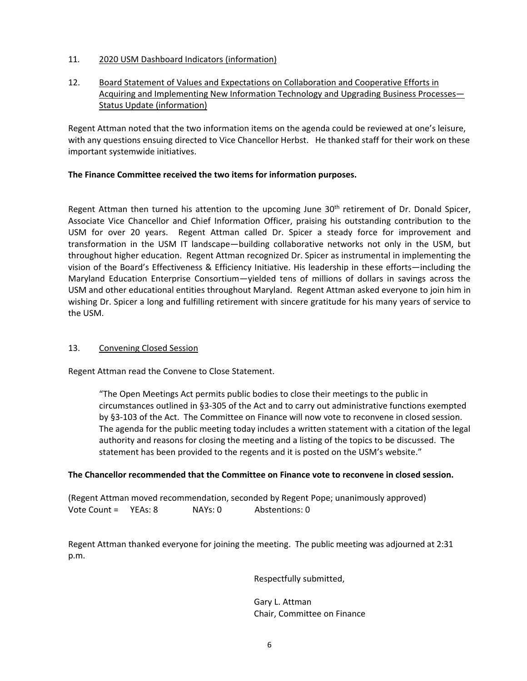- 11. 2020 USM Dashboard Indicators (information)
- 12. Board Statement of Values and Expectations on Collaboration and Cooperative Efforts in Acquiring and Implementing New Information Technology and Upgrading Business Processes— Status Update (information)

Regent Attman noted that the two information items on the agenda could be reviewed at one's leisure, with any questions ensuing directed to Vice Chancellor Herbst. He thanked staff for their work on these important systemwide initiatives.

## **The Finance Committee received the two items for information purposes.**

Regent Attman then turned his attention to the upcoming June  $30<sup>th</sup>$  retirement of Dr. Donald Spicer, Associate Vice Chancellor and Chief Information Officer, praising his outstanding contribution to the USM for over 20 years. Regent Attman called Dr. Spicer a steady force for improvement and transformation in the USM IT landscape—building collaborative networks not only in the USM, but throughout higher education. Regent Attman recognized Dr. Spicer as instrumental in implementing the vision of the Board's Effectiveness & Efficiency Initiative. His leadership in these efforts—including the Maryland Education Enterprise Consortium—yielded tens of millions of dollars in savings across the USM and other educational entities throughout Maryland. Regent Attman asked everyone to join him in wishing Dr. Spicer a long and fulfilling retirement with sincere gratitude for his many years of service to the USM.

#### 13. Convening Closed Session

Regent Attman read the Convene to Close Statement.

"The Open Meetings Act permits public bodies to close their meetings to the public in circumstances outlined in §3-305 of the Act and to carry out administrative functions exempted by §3-103 of the Act. The Committee on Finance will now vote to reconvene in closed session. The agenda for the public meeting today includes a written statement with a citation of the legal authority and reasons for closing the meeting and a listing of the topics to be discussed. The statement has been provided to the regents and it is posted on the USM's website."

#### **The Chancellor recommended that the Committee on Finance vote to reconvene in closed session.**

(Regent Attman moved recommendation, seconded by Regent Pope; unanimously approved) Vote Count = YEAs: 8 NAYs: 0 Abstentions: 0

Regent Attman thanked everyone for joining the meeting. The public meeting was adjourned at 2:31 p.m.

Respectfully submitted,

Gary L. Attman Chair, Committee on Finance